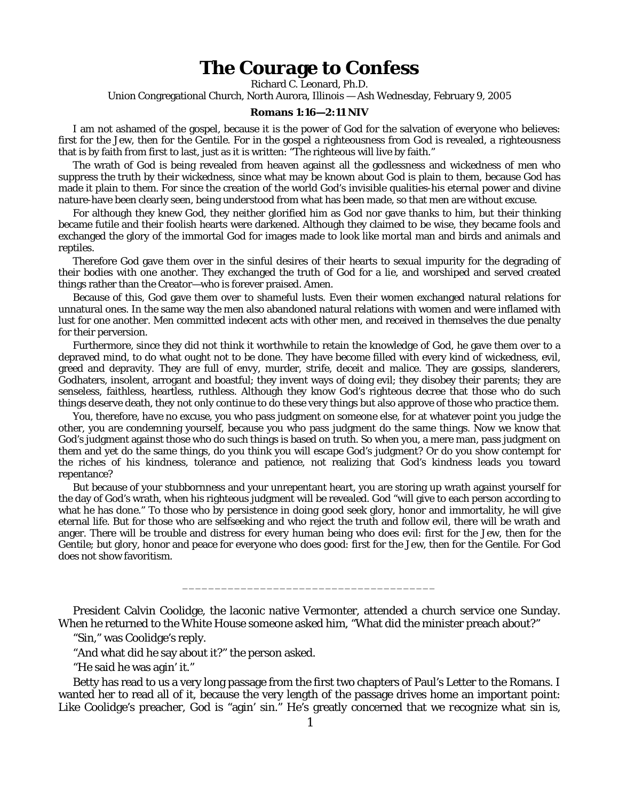## **The Courage to Confess**

Richard C. Leonard, Ph.D.

Union Congregational Church, North Aurora, Illinois — Ash Wednesday, February 9, 2005

## **Romans 1:16—2:11 NIV**

I am not ashamed of the gospel, because it is the power of God for the salvation of everyone who believes: first for the Jew, then for the Gentile. For in the gospel a righteousness from God is revealed, a righteousness that is by faith from first to last, just as it is written: "The righteous will live by faith."

The wrath of God is being revealed from heaven against all the godlessness and wickedness of men who suppress the truth by their wickedness, since what may be known about God is plain to them, because God has made it plain to them. For since the creation of the world God's invisible qualities-his eternal power and divine nature-have been clearly seen, being understood from what has been made, so that men are without excuse.

For although they knew God, they neither glorified him as God nor gave thanks to him, but their thinking became futile and their foolish hearts were darkened. Although they claimed to be wise, they became fools and exchanged the glory of the immortal God for images made to look like mortal man and birds and animals and reptiles.

Therefore God gave them over in the sinful desires of their hearts to sexual impurity for the degrading of their bodies with one another. They exchanged the truth of God for a lie, and worshiped and served created things rather than the Creator—who is forever praised. Amen.

Because of this, God gave them over to shameful lusts. Even their women exchanged natural relations for unnatural ones. In the same way the men also abandoned natural relations with women and were inflamed with lust for one another. Men committed indecent acts with other men, and received in themselves the due penalty for their perversion.

Furthermore, since they did not think it worthwhile to retain the knowledge of God, he gave them over to a depraved mind, to do what ought not to be done. They have become filled with every kind of wickedness, evil, greed and depravity. They are full of envy, murder, strife, deceit and malice. They are gossips, slanderers, Godhaters, insolent, arrogant and boastful; they invent ways of doing evil; they disobey their parents; they are senseless, faithless, heartless, ruthless. Although they know God's righteous decree that those who do such things deserve death, they not only continue to do these very things but also approve of those who practice them.

You, therefore, have no excuse, you who pass judgment on someone else, for at whatever point you judge the other, you are condemning yourself, because you who pass judgment do the same things. Now we know that God's judgment against those who do such things is based on truth. So when you, a mere man, pass judgment on them and yet do the same things, do you think you will escape God's judgment? Or do you show contempt for the riches of his kindness, tolerance and patience, not realizing that God's kindness leads you toward repentance?

But because of your stubbornness and your unrepentant heart, you are storing up wrath against yourself for the day of God's wrath, when his righteous judgment will be revealed. God "will give to each person according to what he has done." To those who by persistence in doing good seek glory, honor and immortality, he will give eternal life. But for those who are selfseeking and who reject the truth and follow evil, there will be wrath and anger. There will be trouble and distress for every human being who does evil: first for the Jew, then for the Gentile; but glory, honor and peace for everyone who does good: first for the Jew, then for the Gentile. For God does not show favoritism.

President Calvin Coolidge, the laconic native Vermonter, attended a church service one Sunday. When he returned to the White House someone asked him, "What did the minister preach about?"

\_\_\_\_\_\_\_\_\_\_\_\_\_\_\_\_\_\_\_\_\_\_\_\_\_\_\_\_\_\_\_\_\_\_\_\_\_\_\_

"Sin," was Coolidge's reply.

"And what did he say about it?" the person asked.

"He said he was agin' it."

Betty has read to us a very long passage from the first two chapters of Paul's Letter to the Romans. I wanted her to read all of it, because the very length of the passage drives home an important point: Like Coolidge's preacher, God is "agin' sin." He's greatly concerned that we *recognize* what sin is,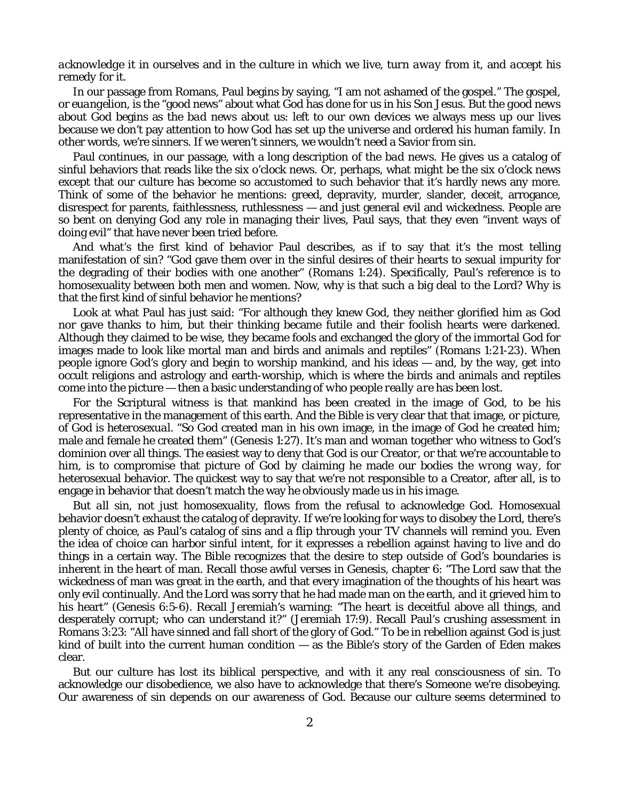*acknowledge* it in ourselves and in the culture in which we live, *turn away* from it, and *accept his remedy* for it.

In our passage from Romans, Paul begins by saying, "I am not ashamed of the gospel." The gospel, or *euangelion,* is the "good news" about what God has done for us in his Son Jesus. But the *good news* about God begins as the *bad news* about us: left to our own devices we always mess up our lives because we don't pay attention to how God has set up the universe and ordered his human family. In other words, we're *sinners.* If we weren't sinners, we wouldn't need a Savior from sin.

Paul continues, in our passage, with a long description of the *bad news.* He gives us a catalog of sinful behaviors that reads like the six o'clock news. Or, perhaps, what might be the six o'clock news except that our culture has become so accustomed to such behavior that it's hardly news any more. Think of some of the behavior he mentions: greed, depravity, murder, slander, deceit, arrogance, disrespect for parents, faithlessness, ruthlessness — and just general evil and wickedness. People are so bent on denying God any role in managing their lives, Paul says, that they even "invent ways of doing evil" that have never been tried before.

And what's the first kind of behavior Paul describes, as if to say that it's the most telling manifestation of sin? "God gave them over in the sinful desires of their hearts to sexual impurity for the degrading of their bodies with one another" (Romans 1:24). Specifically, Paul's reference is to homosexuality between both men and women. Now, why is that such a big deal to the Lord? Why is that the first kind of sinful behavior he mentions?

Look at what Paul has just said: "For although they knew God, they neither glorified him as God nor gave thanks to him, but their thinking became futile and their foolish hearts were darkened. Although they claimed to be wise, they became fools and exchanged the glory of the immortal God for images made to look like mortal man and birds and animals and reptiles" (Romans 1:21-23). When people ignore God's glory and begin to worship mankind, and his ideas — and, by the way, get into occult religions and astrology and earth-worship, which is where the birds and animals and reptiles come into the picture — then a basic understanding of *who people really are* has been lost.

For the Scriptural witness is that mankind has been created in the image of God, to be his representative in the management of this earth. And the Bible is very clear that that image, or picture, of God is *heterosexual.* "So God created man in his own image, in the image of God he created him; male and female he created them" (Genesis 1:27). It's man and woman *together* who witness to God's dominion over all things. The easiest way to deny that God is our Creator, or that we're accountable to him, is to compromise that picture of God by claiming he made our bodies *the wrong way,* for heterosexual behavior. The quickest way to say that we're not responsible to a Creator, after all, is to engage in behavior that doesn't match the way he obviously made us *in his image.*

But *all* sin, not just homosexuality, flows from the refusal to acknowledge God. Homosexual behavior doesn't exhaust the catalog of depravity. If we're looking for ways to disobey the Lord, there's plenty of *choice,* as Paul's catalog of sins and a flip through your TV channels will remind you. Even the idea of *choice* can harbor sinful intent, for it expresses a rebellion against having to live and do things in a certain way. The Bible recognizes that the desire to step outside of God's boundaries is inherent in the heart of man. Recall those awful verses in Genesis, chapter 6: "The Lord saw that the wickedness of man was great in the earth, and that every imagination of the thoughts of his heart was only evil continually. And the Lord was sorry that he had made man on the earth, and it grieved him to his heart" (Genesis 6:5-6). Recall Jeremiah's warning: "The heart is deceitful above all things, and desperately corrupt; who can understand it?" (Jeremiah 17:9). Recall Paul's crushing assessment in Romans 3:23: "All have sinned and fall short of the glory of God." To be in rebellion against God is just kind of built into the current human condition  $-$  as the Bible's story of the Garden of Eden makes clear.

But our culture has lost its biblical perspective, and with it any real consciousness of sin. To acknowledge our disobedience, we also have to acknowledge that there's Someone we're disobeying. Our awareness of sin depends on our awareness of God. Because our culture seems determined to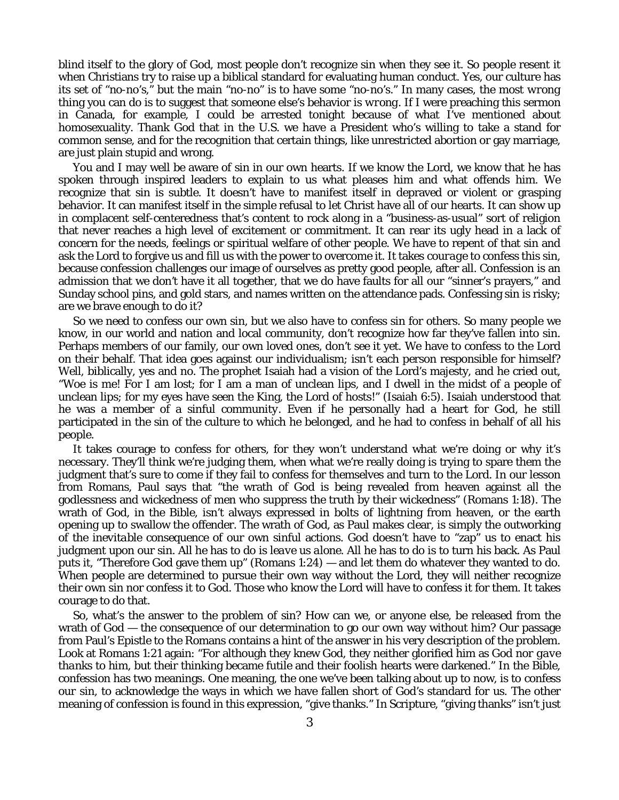blind itself to the glory of God, most people don't recognize sin when they see it. So people resent it when Christians try to raise up a biblical standard for evaluating human conduct. Yes, our culture has its set of "no-no's," but the main "no-no" is to have some "no-no's." In many cases, the most *wrong* thing you can do is to suggest that someone else's behavior is *wrong.* If I were preaching this sermon in Canada, for example, I could be arrested tonight because of what I've mentioned about homosexuality. Thank God that in the U.S. we have a President who's willing to take a stand for common sense, and for the recognition that certain things, like unrestricted abortion or gay marriage, are just plain stupid and wrong.

You and I may well be aware of sin in our own hearts. If we know the Lord, we know that he has spoken through inspired leaders to explain to us what pleases him and what offends him. We recognize that sin is subtle. It doesn't have to manifest itself in depraved or violent or grasping behavior. It can manifest itself in the simple refusal to let Christ have all of our hearts. It can show up in complacent self-centeredness that's content to rock along in a "business-as-usual" sort of religion that never reaches a high level of excitement or commitment. It can rear its ugly head in a lack of concern for the needs, feelings or spiritual welfare of other people. We have to repent of that sin and ask the Lord to forgive us and fill us with the power to overcome it. It takes *courage* to confess this sin, because confession challenges our image of ourselves as pretty good people, after all. Confession is an admission that we *don't* have it all together, that we *do* have faults for all our "sinner's prayers," and Sunday school pins, and gold stars, and names written on the attendance pads. Confessing sin is risky; are we brave enough to do it?

So we need to confess our own sin, but we also have to confess sin for others. So many people we know, in our world and nation and local community, don't recognize how far they've fallen into sin. Perhaps members of our family, our own loved ones, don't see it yet. We have to confess to the Lord on their behalf. That idea goes against our individualism; isn't each person responsible for himself? Well, biblically, yes and no. The prophet Isaiah had a vision of the Lord's majesty, and he cried out, "Woe is me! For I am lost; for I am a man of unclean lips, and I dwell in the midst of a people of unclean lips; for my eyes have seen the King, the Lord of hosts!" (Isaiah 6:5). Isaiah understood that he was a member of a sinful *community.* Even if he personally had a heart for God, he still participated in the sin of the culture to which he belonged, and he had to confess in behalf of all his people.

It takes courage to confess for others, for they won't understand what we're doing or why it's necessary. They'll think we're judging them, when what we're really doing is trying to spare them the judgment that's sure to come if they fail to confess for themselves and turn to the Lord. In our lesson from Romans, Paul says that "the wrath of God is being revealed from heaven against all the godlessness and wickedness of men who suppress the truth by their wickedness" (Romans 1:18). The wrath of God, in the Bible, isn't always expressed in bolts of lightning from heaven, or the earth opening up to swallow the offender. The wrath of God, as Paul makes clear, is simply the outworking of the *inevitable consequence* of our own sinful actions. God doesn't have to "zap" us to enact his judgment upon our sin. All he has to do is *leave us alone.* All he has to do is to turn his back. As Paul puts it, "Therefore God gave them up" (Romans 1:24) — and let them do whatever they wanted to do. When people are determined to pursue their own way without the Lord, they will neither recognize their own sin nor confess it to God. Those who know the Lord will have to confess it for them. It takes courage to do that.

So, what's the answer to the problem of sin? How can we, or anyone else, be released from the wrath of God — the consequence of our determination to go our own way without him? Our passage from Paul's Epistle to the Romans contains a hint of the answer in his very description of the problem. Look at Romans 1:21 again: "For although they knew God, they neither glorified him as God *nor gave thanks to him,* but their thinking became futile and their foolish hearts were darkened." In the Bible, *confession* has two meanings. One meaning, the one we've been talking about up to now, is to *confess our sin,* to acknowledge the ways in which we have fallen short of God's standard for us. The other meaning of confession is found in this expression, "give thanks." In Scripture, "giving thanks" isn't just